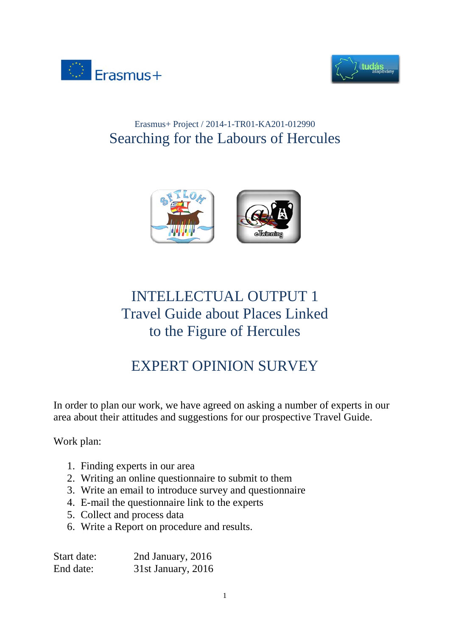



# Erasmus+ Project / 2014-1-TR01-KA201-012990 Searching for the Labours of Hercules



# INTELLECTUAL OUTPUT 1 Travel Guide about Places Linked to the Figure of Hercules

# EXPERT OPINION SURVEY

In order to plan our work, we have agreed on asking a number of experts in our area about their attitudes and suggestions for our prospective Travel Guide.

Work plan:

- 1. Finding experts in our area
- 2. Writing an online questionnaire to submit to them
- 3. Write an email to introduce survey and questionnaire
- 4. E-mail the questionnaire link to the experts
- 5. Collect and process data
- 6. Write a Report on procedure and results.

| Start date: | 2nd January, 2016  |
|-------------|--------------------|
| End date:   | 31st January, 2016 |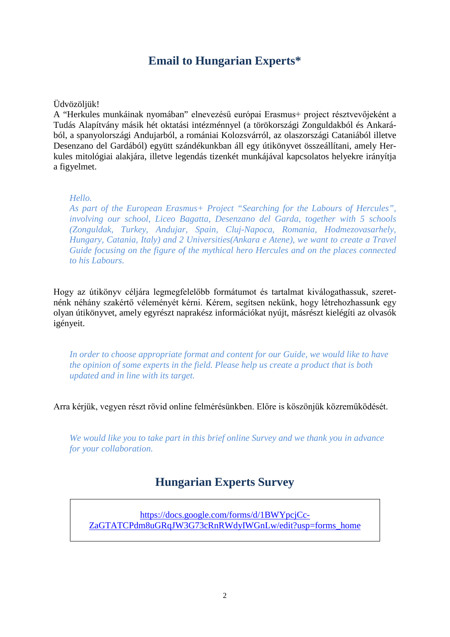## **Email to Hungarian Experts\***

#### Üdvözöljük!

A "Herkules munkáinak nyomában" elnevezésű európai Erasmus+ project résztvevőjeként a Tudás Alapítvány másik hét oktatási intézménnyel (a törökországi Zonguldakból és Ankarából, a spanyolországi Andujarból, a romániai Kolozsvárról, az olaszországi Cataniából illetve Desenzano del Gardából) együtt szándékunkban áll egy útikönyvet összeállítani, amely Herkules mitológiai alakjára, illetve legendás tizenkét munkájával kapcsolatos helyekre irányítja a figyelmet.

#### *Hello.*

*As part of the European Erasmus+ Project "Searching for the Labours of Hercules", involving our school, Liceo Bagatta, Desenzano del Garda, together with 5 schools (Zonguldak, Turkey, Andujar, Spain, Cluj-Napoca, Romania, Hodmezovasarhely, Hungary, Catania, Italy) and 2 Universities(Ankara e Atene), we want to create a Travel Guide focusing on the figure of the mythical hero Hercules and on the places connected to his Labours.*

Hogy az útikönyv céljára legmegfelelőbb formátumot és tartalmat kiválogathassuk, szeretnénk néhány szakértő véleményét kérni. Kérem, segítsen nekünk, hogy létrehozhassunk egy olyan útikönyvet, amely egyrészt naprakész információkat nyújt, másrészt kielégíti az olvasók igényeit.

*In order to choose appropriate format and content for our Guide, we would like to have the opinion of some experts in the field. Please help us create a product that is both updated and in line with its target.*

Arra kérjük, vegyen részt rövid online felmérésünkben. Előre is köszönjük közreműködését.

*We would like you to take part in this brief online Survey and we thank you in advance for your collaboration.*

## **Hungarian Experts Survey**

[https://docs.google.com/forms/d/1BWYpcjCc-](https://docs.google.com/forms/d/1BWYpcjCc-ZaGTATCPdm8uGRqJW3G73cRnRWdyIWGnLw/edit?usp=forms_home)[ZaGTATCPdm8uGRqJW3G73cRnRWdyIWGnLw/edit?usp=forms\\_home](https://docs.google.com/forms/d/1BWYpcjCc-ZaGTATCPdm8uGRqJW3G73cRnRWdyIWGnLw/edit?usp=forms_home)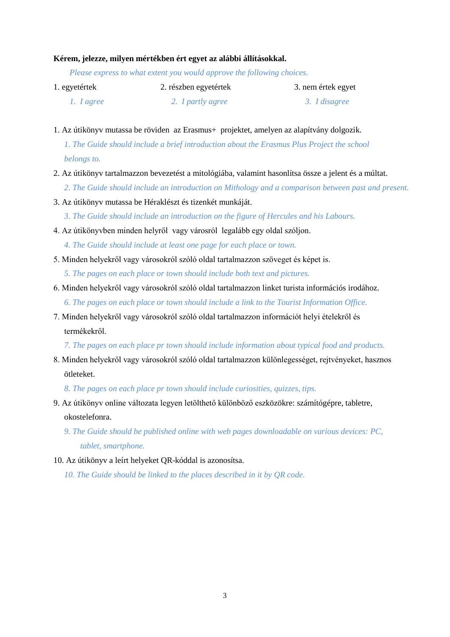#### **Kérem, jelezze, milyen mértékben ért egyet az alábbi állításokkal.**

*Please express to what extent you would approve the following choices.*

| 1. egyetértek    | 2. részben egyetértek    | 3. nem értek egyet |
|------------------|--------------------------|--------------------|
| 1. <i>Lagree</i> | 2. <i>I partly agree</i> | 3. I disagree      |

1. Az útikönyv mutassa be röviden az Erasmus+ projektet, amelyen az alapítvány dolgozik. *1. The Guide should include a brief introduction about the Erasmus Plus Project the school belongs to.*

- 2. Az útikönyv tartalmazzon bevezetést a mitológiába, valamint hasonlítsa össze a jelent és a múltat.
	- *2. The Guide should include an introduction on Mithology and a comparison between past and present.*
- 3. Az útikönyv mutassa be Héraklészt és tizenkét munkáját.

*3. The Guide should include an introduction on the figure of Hercules and his Labours.*

- 4. Az útikönyvben minden helyről vagy városról legalább egy oldal szóljon.
	- *4. The Guide should include at least one page for each place or town.*
- 5. Minden helyekről vagy városokról szóló oldal tartalmazzon szöveget és képet is.
	- *5. The pages on each place or town should include both text and pictures.*
- 6. Minden helyekről vagy városokról szóló oldal tartalmazzon linket turista információs irodához. *6. The pages on each place or town should include a link to the Tourist Information Office.*
- 7. Minden helyekről vagy városokról szóló oldal tartalmazzon információt helyi ételekről és termékekről.

*7. The pages on each place pr town should include information about typical food and products.*

8. Minden helyekről vagy városokról szóló oldal tartalmazzon különlegességet, rejtvényeket, hasznos ötleteket.

*8. The pages on each place pr town should include curiosities, quizzes, tips.*

- 9. Az útikönyv online változata legyen letölthető különböző eszközökre: számítógépre, tabletre, okostelefonra.
	- *9. The Guide should be published online with web pages downloadable on various devices: PC, tablet, smartphone.*
- 10. Az útikönyv a leírt helyeket QR-kóddal is azonosítsa.

*10. The Guide should be linked to the places described in it by QR code.*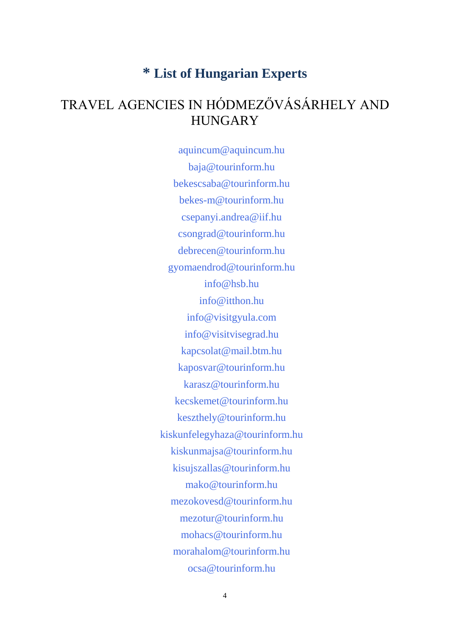# **\* List of Hungarian Experts**

# TRAVEL AGENCIES IN HÓDMEZŐVÁSÁRHELY AND **HUNGARY**

aquincum@aquincum.hu baja@tourinform.hu bekescsaba@tourinform.hu [bekes-m@tourinform.hu](mailto:bekes-m@tourinform.hu) csepanyi.andrea@iif.hu [csongrad@tourinform.hu](mailto:csongrad@tourinform.hu) [debrecen@tourinform.hu](mailto:debrecen@tourinform.hu) gyomaendrod@tourinform.hu info@hsb.hu info@itthon.hu info@visitgyula.com info@visitvisegrad.hu kapcsolat@mail.btm.hu kaposvar@tourinform.hu karasz@tourinform.hu kecskemet@tourinform.hu keszthely@tourinform.hu kiskunfelegyhaza@tourinform.hu [kiskunmajsa@tourinform.hu](mailto:kiskunmajsa@tourinform.hu) kisujszallas@tourinform.hu mako@tourinform.hu mezokovesd@tourinform.hu mezotur@tourinform.hu mohacs@tourinform.hu morahalom@tourinform.hu ocsa@tourinform.hu

4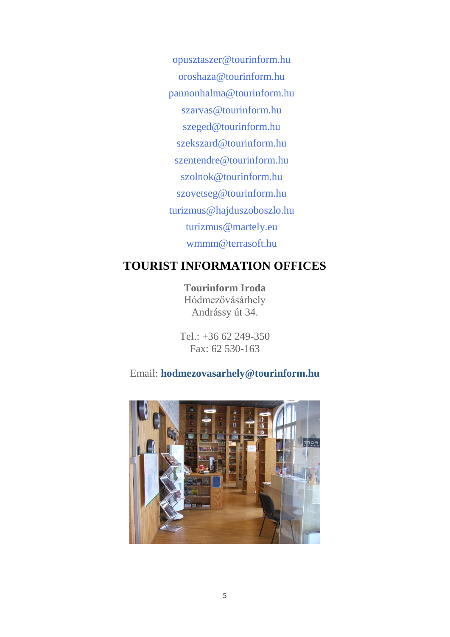opusztaszer@tourinform.hu oroshaza@tourinform.hu pannonhalma@tourinform.hu szarvas@tourinform.hu szeged@tourinform.hu [szekszard@tourinform.hu](mailto:szekszard@tourinform.hu) szentendre@tourinform.hu szolnok@tourinform.hu szovetseg@tourinform.hu turizmus@hajduszoboszlo.hu turizmus@martely.eu wmmm@terrasoft.hu

## **TOURIST INFORMATION OFFICES**

**Tourinform Iroda** Hódmezővásárhely Andrássy út 34.

Tel.: +36 62 249-350 Fax: 62 530-163

## Email: **[hodmezovasarhely@tourinform.hu](mailto:hodmezovasarhely@tourinform.hu)**

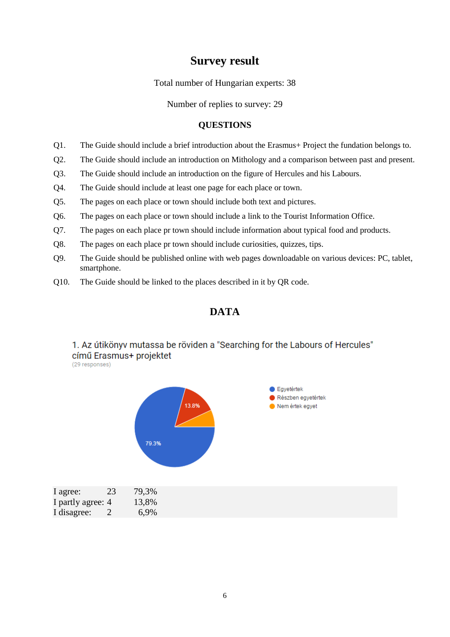### **Survey result**

Total number of Hungarian experts: 38

Number of replies to survey: 29

#### **QUESTIONS**

- Q1. The Guide should include a brief introduction about the Erasmus+ Project the fundation belongs to.
- Q2. The Guide should include an introduction on Mithology and a comparison between past and present.
- Q3. The Guide should include an introduction on the figure of Hercules and his Labours.
- Q4. The Guide should include at least one page for each place or town.
- Q5. The pages on each place or town should include both text and pictures.
- Q6. The pages on each place or town should include a link to the Tourist Information Office.
- Q7. The pages on each place pr town should include information about typical food and products.
- Q8. The pages on each place pr town should include curiosities, quizzes, tips.
- Q9. The Guide should be published online with web pages downloadable on various devices: PC, tablet, smartphone.
- Q10. The Guide should be linked to the places described in it by QR code.

### **DATA**

#### 1. Az útikönyv mutassa be röviden a "Searching for the Labours of Hercules" című Erasmus+ projektet

(29 responses)



| $\mathbf{u}_{\mathbf{H}}$ | $\overline{\phantom{a}}$ | 1/1   |
|---------------------------|--------------------------|-------|
| I partly agree: 4         |                          | 13,8% |
| I disagree:               |                          | 6,9%  |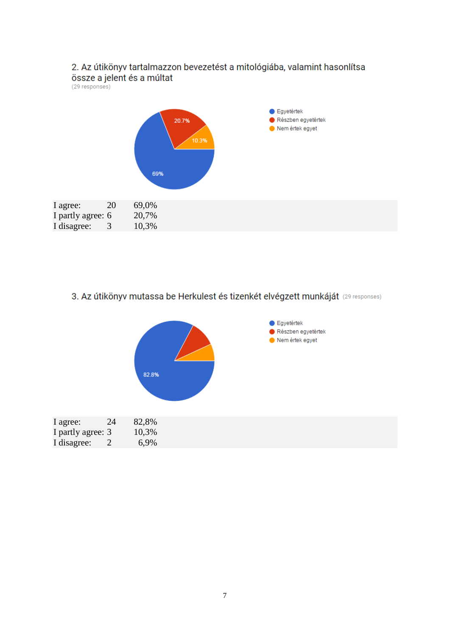

#### 3. Az útikönyv mutassa be Herkulest és tizenkét elvégzett munkáját (29 responses)

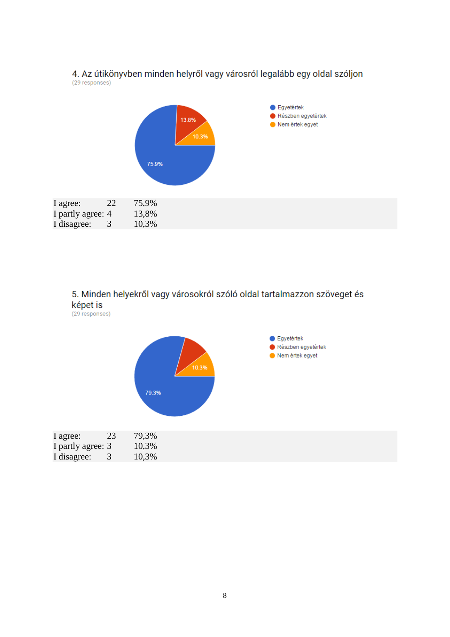

#### 4. Az útikönyvben minden helyről vagy városról legalább egy oldal szóljon (29 responses)

### 5. Minden helyekről vagy városokról szóló oldal tartalmazzon szöveget és képet is

(29 responses)

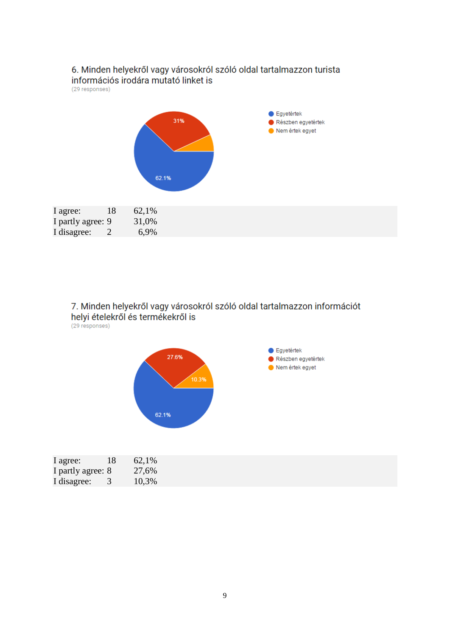

7. Minden helyekről vagy városokról szóló oldal tartalmazzon információt helyi ételekről és termékekről is (29 responses)

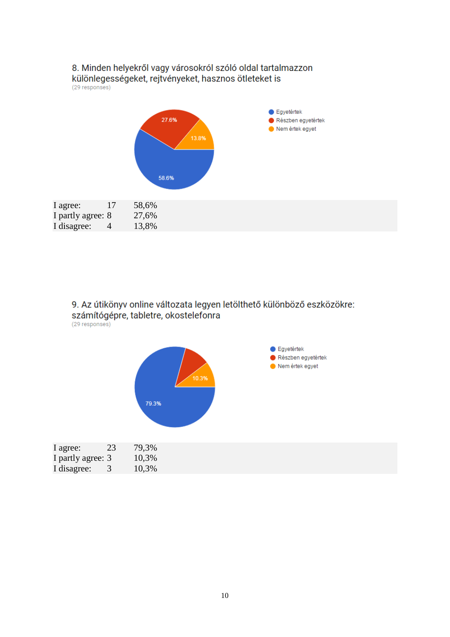

#### 9. Az útikönyv online változata legyen letölthető különböző eszközökre: számítógépre, tabletre, okostelefonra (29 responses)